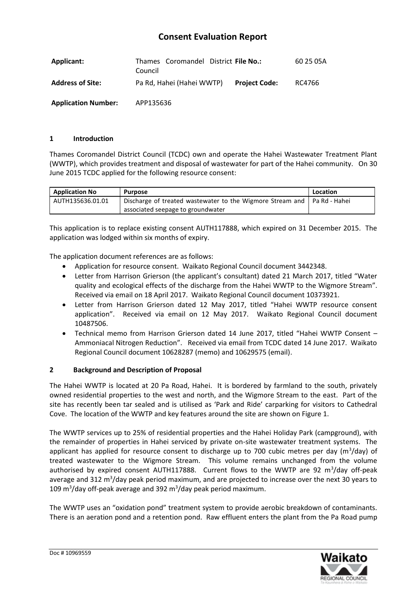## **Consent Evaluation Report**

| Applicant:                 | Thames Coromandel District File No.:<br>Council |                      | 60 25 05A |
|----------------------------|-------------------------------------------------|----------------------|-----------|
| <b>Address of Site:</b>    | Pa Rd, Hahei (Hahei WWTP)                       | <b>Project Code:</b> | RC4766    |
| <b>Application Number:</b> | APP135636                                       |                      |           |

## **1 Introduction**

Thames Coromandel District Council (TCDC) own and operate the Hahei Wastewater Treatment Plant (WWTP), which provides treatment and disposal of wastewater for part of the Hahei community. On 30 June 2015 TCDC applied for the following resource consent:

| <b>Application No</b> | <b>Purpose</b>                                                            | Location |
|-----------------------|---------------------------------------------------------------------------|----------|
| AUTH135636.01.01      | Discharge of treated wastewater to the Wigmore Stream and   Pa Rd - Hahei |          |
|                       | associated seepage to groundwater                                         |          |

This application is to replace existing consent AUTH117888, which expired on 31 December 2015. The application was lodged within six months of expiry.

The application document references are as follows:

- Application for resource consent. Waikato Regional Council document 3442348.
- Letter from Harrison Grierson (the applicant's consultant) dated 21 March 2017, titled "Water quality and ecological effects of the discharge from the Hahei WWTP to the Wigmore Stream". Received via email on 18 April 2017. Waikato Regional Council document 10373921.
- Letter from Harrison Grierson dated 12 May 2017, titled "Hahei WWTP resource consent application". Received via email on 12 May 2017. Waikato Regional Council document 10487506.
- Technical memo from Harrison Grierson dated 14 June 2017, titled "Hahei WWTP Consent Ammoniacal Nitrogen Reduction". Received via email from TCDC dated 14 June 2017. Waikato Regional Council document 10628287 (memo) and 10629575 (email).

## **2 Background and Description of Proposal**

The Hahei WWTP is located at 20 Pa Road, Hahei. It is bordered by farmland to the south, privately owned residential properties to the west and north, and the Wigmore Stream to the east. Part of the site has recently been tar sealed and is utilised as 'Park and Ride' carparking for visitors to Cathedral Cove. The location of the WWTP and key features around the site are shown on Figure 1.

The WWTP services up to 25% of residential properties and the Hahei Holiday Park (campground), with the remainder of properties in Hahei serviced by private on-site wastewater treatment systems. The applicant has applied for resource consent to discharge up to 700 cubic metres per day (m<sup>3</sup>/day) of treated wastewater to the Wigmore Stream. This volume remains unchanged from the volume authorised by expired consent AUTH117888. Current flows to the WWTP are 92  $m^3$ /day off-peak average and 312 m<sup>3</sup>/day peak period maximum, and are projected to increase over the next 30 years to 109  $\text{m}^3$ /day off-peak average and 392  $\text{m}^3$ /day peak period maximum.

The WWTP uses an "oxidation pond" treatment system to provide aerobic breakdown of contaminants. There is an aeration pond and a retention pond. Raw effluent enters the plant from the Pa Road pump

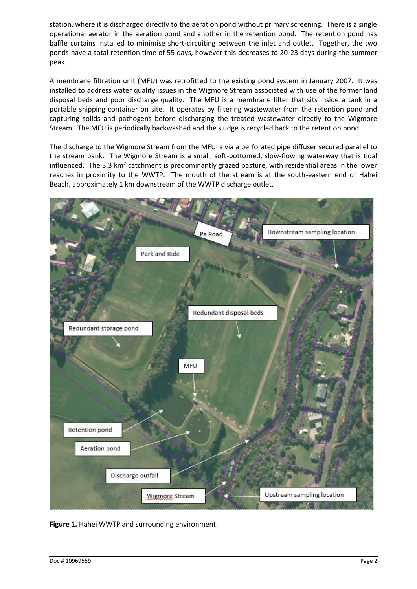station, where it is discharged directly to the aeration pond without primary screening. There is a single operational aerator in the aeration pond and another in the retention pond. The retention pond has baffle curtains installed to minimise short-circuiting between the inlet and outlet. Together, the two ponds have a total retention time of 55 days, however this decreases to 20-23 days during the summer peak.

A membrane filtration unit (MFU) was retrofitted to the existing pond system in January 2007. It was installed to address water quality issues in the Wigmore Stream associated with use of the former land disposal beds and poor discharge quality. The MFU is a membrane filter that sits inside a tank in a portable shipping container on site. It operates by filtering wastewater from the retention pond and capturing solids and pathogens before discharging the treated wastewater directly to the Wigmore Stream. The MFU is periodically backwashed and the sludge is recycled back to the retention pond.

The discharge to the Wigmore Stream from the MFU is via a perforated pipe diffuser secured parallel to the stream bank. The Wigmore Stream is a small, soft-bottomed, slow-flowing waterway that is tidal influenced. The 3.3  $km<sup>2</sup>$  catchment is predominantly grazed pasture, with residential areas in the lower reaches in proximity to the WWTP. The mouth of the stream is at the south-eastern end of Hahei Beach, approximately 1 km downstream of the WWTP discharge outlet.



**Figure 1.** Hahei WWTP and surrounding environment.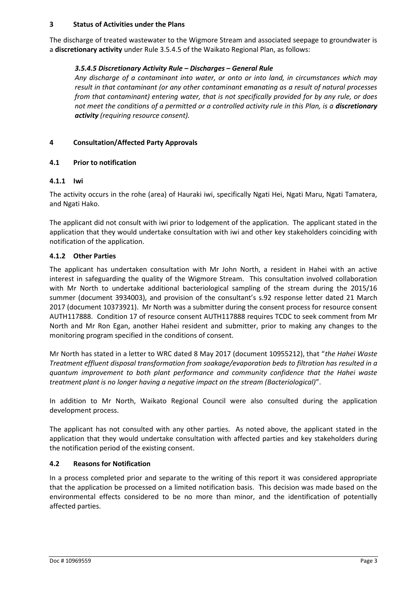## **3 Status of Activities under the Plans**

The discharge of treated wastewater to the Wigmore Stream and associated seepage to groundwater is a **discretionary activity** under Rule 3.5.4.5 of the Waikato Regional Plan, as follows:

## *3.5.4.5 Discretionary Activity Rule – Discharges – General Rule*

*Any discharge of a contaminant into water, or onto or into land, in circumstances which may result in that contaminant (or any other contaminant emanating as a result of natural processes from that contaminant) entering water, that is not specifically provided for by any rule, or does not meet the conditions of a permitted or a controlled activity rule in this Plan, is a discretionary activity (requiring resource consent).*

## **4 Consultation/Affected Party Approvals**

## **4.1 Prior to notification**

## **4.1.1 Iwi**

The activity occurs in the rohe (area) of Hauraki iwi, specifically Ngati Hei, Ngati Maru, Ngati Tamatera, and Ngati Hako.

The applicant did not consult with iwi prior to lodgement of the application. The applicant stated in the application that they would undertake consultation with iwi and other key stakeholders coinciding with notification of the application.

## **4.1.2 Other Parties**

The applicant has undertaken consultation with Mr John North, a resident in Hahei with an active interest in safeguarding the quality of the Wigmore Stream. This consultation involved collaboration with Mr North to undertake additional bacteriological sampling of the stream during the 2015/16 summer (document 3934003), and provision of the consultant's s.92 response letter dated 21 March 2017 (document 10373921). Mr North was a submitter during the consent process for resource consent AUTH117888. Condition 17 of resource consent AUTH117888 requires TCDC to seek comment from Mr North and Mr Ron Egan, another Hahei resident and submitter, prior to making any changes to the monitoring program specified in the conditions of consent.

Mr North has stated in a letter to WRC dated 8 May 2017 (document 10955212), that "*the Hahei Waste Treatment effluent disposal transformation from soakage/evaporation beds to filtration has resulted in a quantum improvement to both plant performance and community confidence that the Hahei waste treatment plant is no longer having a negative impact on the stream (Bacteriological)*".

In addition to Mr North, Waikato Regional Council were also consulted during the application development process.

The applicant has not consulted with any other parties. As noted above, the applicant stated in the application that they would undertake consultation with affected parties and key stakeholders during the notification period of the existing consent.

## **4.2 Reasons for Notification**

In a process completed prior and separate to the writing of this report it was considered appropriate that the application be processed on a limited notification basis. This decision was made based on the environmental effects considered to be no more than minor, and the identification of potentially affected parties.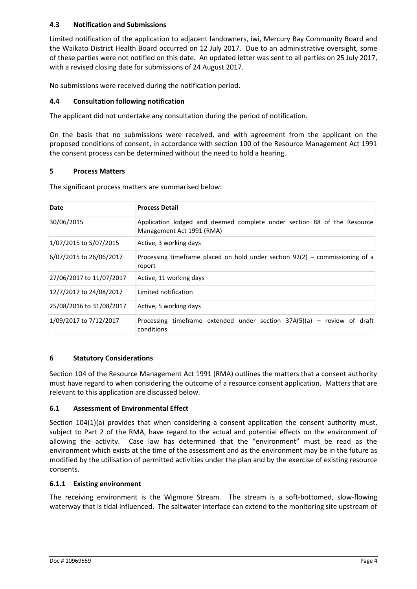## **4.3 Notification and Submissions**

Limited notification of the application to adjacent landowners, iwi, Mercury Bay Community Board and the Waikato District Health Board occurred on 12 July 2017. Due to an administrative oversight, some of these parties were not notified on this date. An updated letter was sent to all parties on 25 July 2017, with a revised closing date for submissions of 24 August 2017.

No submissions were received during the notification period.

## **4.4 Consultation following notification**

The applicant did not undertake any consultation during the period of notification.

On the basis that no submissions were received, and with agreement from the applicant on the proposed conditions of consent, in accordance with section 100 of the Resource Management Act 1991 the consent process can be determined without the need to hold a hearing.

## **5 Process Matters**

The significant process matters are summarised below:

| Date                     | <b>Process Detail</b>                                                                                |
|--------------------------|------------------------------------------------------------------------------------------------------|
| 30/06/2015               | Application lodged and deemed complete under section 88 of the Resource<br>Management Act 1991 (RMA) |
| 1/07/2015 to 5/07/2015   | Active, 3 working days                                                                               |
| 6/07/2015 to 26/06/2017  | Processing timeframe placed on hold under section $92(2)$ – commissioning of a<br>report             |
| 27/06/2017 to 11/07/2017 | Active, 11 working days                                                                              |
| 12/7/2017 to 24/08/2017  | Limited notification                                                                                 |
| 25/08/2016 to 31/08/2017 | Active, 5 working days                                                                               |
| 1/09/2017 to 7/12/2017   | Processing timeframe extended under section $37A(5)(a)$ – review of draft<br>conditions              |

## **6 Statutory Considerations**

Section 104 of the Resource Management Act 1991 (RMA) outlines the matters that a consent authority must have regard to when considering the outcome of a resource consent application. Matters that are relevant to this application are discussed below.

## **6.1 Assessment of Environmental Effect**

Section 104(1)(a) provides that when considering a consent application the consent authority must, subject to Part 2 of the RMA, have regard to the actual and potential effects on the environment of allowing the activity. Case law has determined that the "environment" must be read as the environment which exists at the time of the assessment and as the environment may be in the future as modified by the utilisation of permitted activities under the plan and by the exercise of existing resource consents.

## **6.1.1 Existing environment**

The receiving environment is the Wigmore Stream. The stream is a soft-bottomed, slow-flowing waterway that is tidal influenced. The saltwater interface can extend to the monitoring site upstream of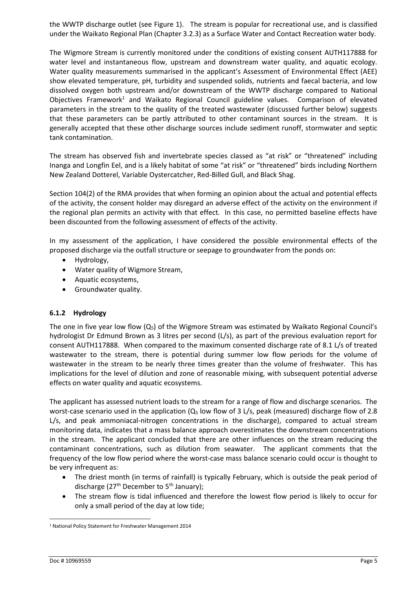the WWTP discharge outlet (see Figure 1). The stream is popular for recreational use, and is classified under the Waikato Regional Plan (Chapter 3.2.3) as a Surface Water and Contact Recreation water body.

The Wigmore Stream is currently monitored under the conditions of existing consent AUTH117888 for water level and instantaneous flow, upstream and downstream water quality, and aquatic ecology. Water quality measurements summarised in the applicant's Assessment of Environmental Effect (AEE) show elevated temperature, pH, turbidity and suspended solids, nutrients and faecal bacteria, and low dissolved oxygen both upstream and/or downstream of the WWTP discharge compared to National Objectives Framework<sup>1</sup> and Waikato Regional Council guideline values. Comparison of elevated parameters in the stream to the quality of the treated wastewater (discussed further below) suggests that these parameters can be partly attributed to other contaminant sources in the stream. It is generally accepted that these other discharge sources include sediment runoff, stormwater and septic tank contamination.

The stream has observed fish and invertebrate species classed as "at risk" or "threatened" including Inanga and Longfin Eel, and is a likely habitat of some "at risk" or "threatened" birds including Northern New Zealand Dotterel, Variable Oystercatcher, Red-Billed Gull, and Black Shag.

Section 104(2) of the RMA provides that when forming an opinion about the actual and potential effects of the activity, the consent holder may disregard an adverse effect of the activity on the environment if the regional plan permits an activity with that effect. In this case, no permitted baseline effects have been discounted from the following assessment of effects of the activity.

In my assessment of the application, I have considered the possible environmental effects of the proposed discharge via the outfall structure or seepage to groundwater from the ponds on:

- Hydrology,
- Water quality of Wigmore Stream,
- Aquatic ecosystems,
- Groundwater quality.

## **6.1.2 Hydrology**

The one in five year low flow  $(Q_5)$  of the Wigmore Stream was estimated by Waikato Regional Council's hydrologist Dr Edmund Brown as 3 litres per second (L/s), as part of the previous evaluation report for consent AUTH117888. When compared to the maximum consented discharge rate of 8.1 L/s of treated wastewater to the stream, there is potential during summer low flow periods for the volume of wastewater in the stream to be nearly three times greater than the volume of freshwater. This has implications for the level of dilution and zone of reasonable mixing, with subsequent potential adverse effects on water quality and aquatic ecosystems.

The applicant has assessed nutrient loads to the stream for a range of flow and discharge scenarios. The worst-case scenario used in the application ( $Q<sub>5</sub>$  low flow of 3 L/s, peak (measured) discharge flow of 2.8 L/s, and peak ammoniacal-nitrogen concentrations in the discharge), compared to actual stream monitoring data, indicates that a mass balance approach overestimates the downstream concentrations in the stream. The applicant concluded that there are other influences on the stream reducing the contaminant concentrations, such as dilution from seawater. The applicant comments that the frequency of the low flow period where the worst-case mass balance scenario could occur is thought to be very infrequent as:

- The driest month (in terms of rainfall) is typically February, which is outside the peak period of discharge ( $27<sup>th</sup>$  December to  $5<sup>th</sup>$  January);
- The stream flow is tidal influenced and therefore the lowest flow period is likely to occur for only a small period of the day at low tide;

 <sup>1</sup> National Policy Statement for Freshwater Management 2014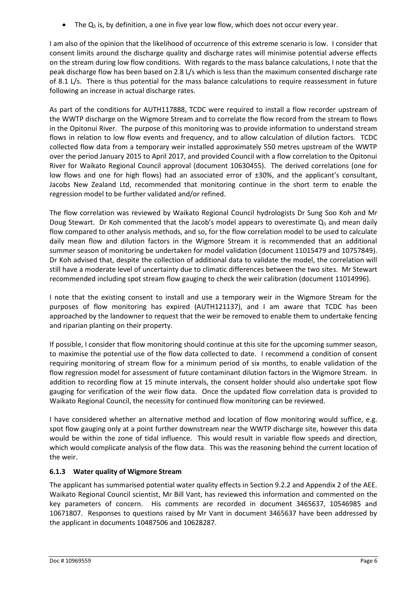$\bullet$  The  $Q_5$  is, by definition, a one in five year low flow, which does not occur every year.

I am also of the opinion that the likelihood of occurrence of this extreme scenario is low. I consider that consent limits around the discharge quality and discharge rates will minimise potential adverse effects on the stream during low flow conditions. With regards to the mass balance calculations, I note that the peak discharge flow has been based on 2.8 L/s which is less than the maximum consented discharge rate of 8.1 L/s. There is thus potential for the mass balance calculations to require reassessment in future following an increase in actual discharge rates.

As part of the conditions for AUTH117888, TCDC were required to install a flow recorder upstream of the WWTP discharge on the Wigmore Stream and to correlate the flow record from the stream to flows in the Opitonui River. The purpose of this monitoring was to provide information to understand stream flows in relation to low flow events and frequency, and to allow calculation of dilution factors. TCDC collected flow data from a temporary weir installed approximately 550 metres upstream of the WWTP over the period January 2015 to April 2017, and provided Council with a flow correlation to the Opitonui River for Waikato Regional Council approval (document 10630455). The derived correlations (one for low flows and one for high flows) had an associated error of  $\pm 30$ %, and the applicant's consultant, Jacobs New Zealand Ltd, recommended that monitoring continue in the short term to enable the regression model to be further validated and/or refined.

The flow correlation was reviewed by Waikato Regional Council hydrologists Dr Sung Soo Koh and Mr Doug Stewart. Dr Koh commented that the Jacob's model appears to overestimate  $Q_5$  and mean daily flow compared to other analysis methods, and so, for the flow correlation model to be used to calculate daily mean flow and dilution factors in the Wigmore Stream it is recommended that an additional summer season of monitoring be undertaken for model validation (document 11015479 and 10757849). Dr Koh advised that, despite the collection of additional data to validate the model, the correlation will still have a moderate level of uncertainty due to climatic differences between the two sites. Mr Stewart recommended including spot stream flow gauging to check the weir calibration (document 11014996).

I note that the existing consent to install and use a temporary weir in the Wigmore Stream for the purposes of flow monitoring has expired (AUTH121137), and I am aware that TCDC has been approached by the landowner to request that the weir be removed to enable them to undertake fencing and riparian planting on their property.

If possible, I consider that flow monitoring should continue at this site for the upcoming summer season, to maximise the potential use of the flow data collected to date. I recommend a condition of consent requiring monitoring of stream flow for a minimum period of six months, to enable validation of the flow regression model for assessment of future contaminant dilution factors in the Wigmore Stream. In addition to recording flow at 15 minute intervals, the consent holder should also undertake spot flow gauging for verification of the weir flow data. Once the updated flow correlation data is provided to Waikato Regional Council, the necessity for continued flow monitoring can be reviewed.

I have considered whether an alternative method and location of flow monitoring would suffice, e.g. spot flow gauging only at a point further downstream near the WWTP discharge site, however this data would be within the zone of tidal influence. This would result in variable flow speeds and direction, which would complicate analysis of the flow data. This was the reasoning behind the current location of the weir.

## **6.1.3 Water quality of Wigmore Stream**

The applicant has summarised potential water quality effects in Section 9.2.2 and Appendix 2 of the AEE. Waikato Regional Council scientist, Mr Bill Vant, has reviewed this information and commented on the key parameters of concern. His comments are recorded in document 3465637, 10546985 and 10671807. Responses to questions raised by Mr Vant in document 3465637 have been addressed by the applicant in documents 10487506 and 10628287.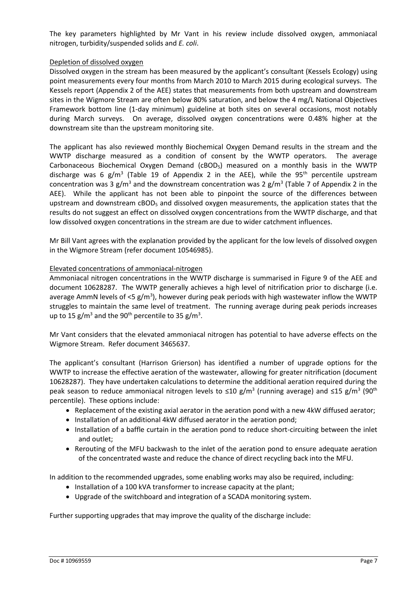The key parameters highlighted by Mr Vant in his review include dissolved oxygen, ammoniacal nitrogen, turbidity/suspended solids and *E. coli*.

#### Depletion of dissolved oxygen

Dissolved oxygen in the stream has been measured by the applicant's consultant (Kessels Ecology) using point measurements every four months from March 2010 to March 2015 during ecological surveys. The Kessels report (Appendix 2 of the AEE) states that measurements from both upstream and downstream sites in the Wigmore Stream are often below 80% saturation, and below the 4 mg/L National Objectives Framework bottom line (1-day minimum) guideline at both sites on several occasions, most notably during March surveys. On average, dissolved oxygen concentrations were 0.48% higher at the downstream site than the upstream monitoring site.

The applicant has also reviewed monthly Biochemical Oxygen Demand results in the stream and the WWTP discharge measured as a condition of consent by the WWTP operators. The average Carbonaceous Biochemical Oxygen Demand ( $\text{CBOD}_5$ ) measured on a monthly basis in the WWTP discharge was 6 g/m<sup>3</sup> (Table 19 of Appendix 2 in the AEE), while the 95<sup>th</sup> percentile upstream concentration was 3 g/m<sup>3</sup> and the downstream concentration was 2 g/m<sup>3</sup> (Table 7 of Appendix 2 in the AEE). While the applicant has not been able to pinpoint the source of the differences between upstream and downstream cBOD<sub>5</sub> and dissolved oxygen measurements, the application states that the results do not suggest an effect on dissolved oxygen concentrations from the WWTP discharge, and that low dissolved oxygen concentrations in the stream are due to wider catchment influences.

Mr Bill Vant agrees with the explanation provided by the applicant for the low levels of dissolved oxygen in the Wigmore Stream (refer document 10546985).

## Elevated concentrations of ammoniacal-nitrogen

Ammoniacal nitrogen concentrations in the WWTP discharge is summarised in Figure 9 of the AEE and document 10628287. The WWTP generally achieves a high level of nitrification prior to discharge (i.e. average AmmN levels of <5  $g/m^3$ ), however during peak periods with high wastewater inflow the WWTP struggles to maintain the same level of treatment. The running average during peak periods increases up to 15  $\rm g/m^3$  and the 90<sup>th</sup> percentile to 35  $\rm g/m^3$ .

Mr Vant considers that the elevated ammoniacal nitrogen has potential to have adverse effects on the Wigmore Stream. Refer document 3465637.

The applicant's consultant (Harrison Grierson) has identified a number of upgrade options for the WWTP to increase the effective aeration of the wastewater, allowing for greater nitrification (document 10628287). They have undertaken calculations to determine the additional aeration required during the peak season to reduce ammoniacal nitrogen levels to  $\leq 10$  g/m<sup>3</sup> (running average) and  $\leq 15$  g/m<sup>3</sup> (90<sup>th</sup> percentile). These options include:

- Replacement of the existing axial aerator in the aeration pond with a new 4kW diffused aerator;
- Installation of an additional 4kW diffused aerator in the aeration pond;
- Installation of a baffle curtain in the aeration pond to reduce short-circuiting between the inlet and outlet;
- Rerouting of the MFU backwash to the inlet of the aeration pond to ensure adequate aeration of the concentrated waste and reduce the chance of direct recycling back into the MFU.

In addition to the recommended upgrades, some enabling works may also be required, including:

- Installation of a 100 kVA transformer to increase capacity at the plant;
- Upgrade of the switchboard and integration of a SCADA monitoring system.

Further supporting upgrades that may improve the quality of the discharge include: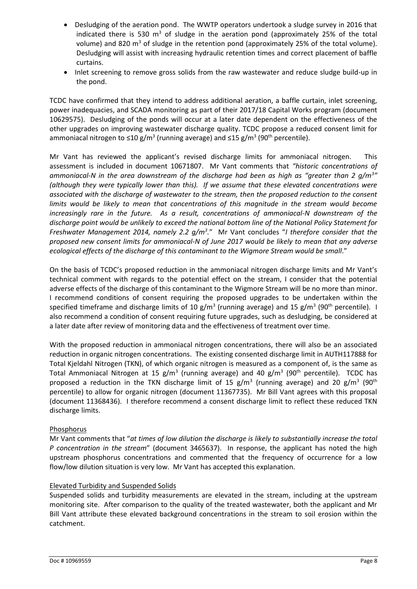- Desludging of the aeration pond. The WWTP operators undertook a sludge survey in 2016 that indicated there is 530  $m<sup>3</sup>$  of sludge in the aeration pond (approximately 25% of the total volume) and 820  $\text{m}^3$  of sludge in the retention pond (approximately 25% of the total volume). Desludging will assist with increasing hydraulic retention times and correct placement of baffle curtains.
- Inlet screening to remove gross solids from the raw wastewater and reduce sludge build-up in the pond.

TCDC have confirmed that they intend to address additional aeration, a baffle curtain, inlet screening, power inadequacies, and SCADA monitoring as part of their 2017/18 Capital Works program (document 10629575). Desludging of the ponds will occur at a later date dependent on the effectiveness of the other upgrades on improving wastewater discharge quality. TCDC propose a reduced consent limit for ammoniacal nitrogen to  $\leq 10$  g/m<sup>3</sup> (running average) and  $\leq 15$  g/m<sup>3</sup> (90<sup>th</sup> percentile).

Mr Vant has reviewed the applicant's revised discharge limits for ammoniacal nitrogen. This assessment is included in document 10671807. Mr Vant comments that *"historic concentrations of ammoniacal-N in the area downstream of the discharge had been as high as "greater than 2 g/m<sup>3</sup> " (although they were typically lower than this). If we assume that these elevated concentrations were associated with the discharge of wastewater to the stream, then the proposed reduction to the consent limits would be likely to mean that concentrations of this magnitude in the stream would become increasingly rare in the future. As a result, concentrations of ammoniacal-N downstream of the discharge point would be unlikely to exceed the national bottom line of the National Policy Statement for Freshwater Management 2014, namely 2.2 g/m3 .*" Mr Vant concludes "*I therefore consider that the proposed new consent limits for ammoniacal-N of June 2017 would be likely to mean that any adverse ecological effects of the discharge of this contaminant to the Wigmore Stream would be small*."

On the basis of TCDC's proposed reduction in the ammoniacal nitrogen discharge limits and Mr Vant's technical comment with regards to the potential effect on the stream, I consider that the potential adverse effects of the discharge of this contaminant to the Wigmore Stream will be no more than minor. I recommend conditions of consent requiring the proposed upgrades to be undertaken within the specified timeframe and discharge limits of 10 g/m<sup>3</sup> (running average) and 15 g/m<sup>3</sup> (90<sup>th</sup> percentile). I also recommend a condition of consent requiring future upgrades, such as desludging, be considered at a later date after review of monitoring data and the effectiveness of treatment over time.

With the proposed reduction in ammoniacal nitrogen concentrations, there will also be an associated reduction in organic nitrogen concentrations. The existing consented discharge limit in AUTH117888 for Total Kjeldahl Nitrogen (TKN), of which organic nitrogen is measured as a component of, is the same as Total Ammoniacal Nitrogen at 15 g/m<sup>3</sup> (running average) and 40 g/m<sup>3</sup> (90<sup>th</sup> percentile). TCDC has proposed a reduction in the TKN discharge limit of 15 g/m<sup>3</sup> (running average) and 20 g/m<sup>3</sup> (90<sup>th</sup> percentile) to allow for organic nitrogen (document 11367735). Mr Bill Vant agrees with this proposal (document 11368436). I therefore recommend a consent discharge limit to reflect these reduced TKN discharge limits.

## Phosphorus

Mr Vant comments that "*at times of low dilution the discharge is likely to substantially increase the total P concentration in the stream*" (document 3465637). In response, the applicant has noted the high upstream phosphorus concentrations and commented that the frequency of occurrence for a low flow/low dilution situation is very low. Mr Vant has accepted this explanation.

#### Elevated Turbidity and Suspended Solids

Suspended solids and turbidity measurements are elevated in the stream, including at the upstream monitoring site. After comparison to the quality of the treated wastewater, both the applicant and Mr Bill Vant attribute these elevated background concentrations in the stream to soil erosion within the catchment.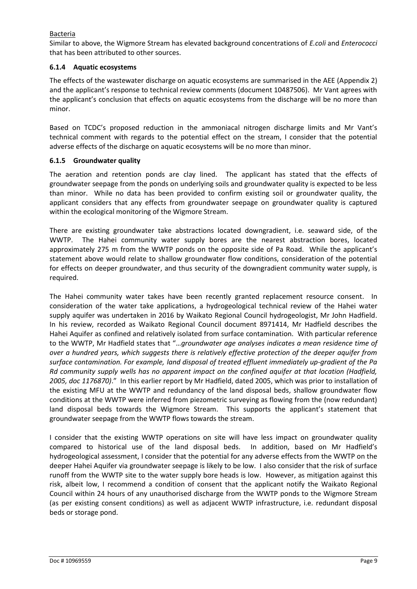## Bacteria

Similar to above, the Wigmore Stream has elevated background concentrations of *E.coli* and *Enterococci* that has been attributed to other sources.

## **6.1.4 Aquatic ecosystems**

The effects of the wastewater discharge on aquatic ecosystems are summarised in the AEE (Appendix 2) and the applicant's response to technical review comments (document 10487506). Mr Vant agrees with the applicant's conclusion that effects on aquatic ecosystems from the discharge will be no more than minor.

Based on TCDC's proposed reduction in the ammoniacal nitrogen discharge limits and Mr Vant's technical comment with regards to the potential effect on the stream, I consider that the potential adverse effects of the discharge on aquatic ecosystems will be no more than minor.

## **6.1.5 Groundwater quality**

The aeration and retention ponds are clay lined. The applicant has stated that the effects of groundwater seepage from the ponds on underlying soils and groundwater quality is expected to be less than minor. While no data has been provided to confirm existing soil or groundwater quality, the applicant considers that any effects from groundwater seepage on groundwater quality is captured within the ecological monitoring of the Wigmore Stream.

There are existing groundwater take abstractions located downgradient, i.e. seaward side, of the WWTP. The Hahei community water supply bores are the nearest abstraction bores, located approximately 275 m from the WWTP ponds on the opposite side of Pa Road. While the applicant's statement above would relate to shallow groundwater flow conditions, consideration of the potential for effects on deeper groundwater, and thus security of the downgradient community water supply, is required.

The Hahei community water takes have been recently granted replacement resource consent. In consideration of the water take applications, a hydrogeological technical review of the Hahei water supply aquifer was undertaken in 2016 by Waikato Regional Council hydrogeologist, Mr John Hadfield. In his review, recorded as Waikato Regional Council document 8971414, Mr Hadfield describes the Hahei Aquifer as confined and relatively isolated from surface contamination. With particular reference to the WWTP, Mr Hadfield states that "…*groundwater age analyses indicates a mean residence time of over a hundred years, which suggests there is relatively effective protection of the deeper aquifer from surface contamination. For example, land disposal of treated effluent immediately up-gradient of the Pa Rd community supply wells has no apparent impact on the confined aquifer at that location (Hadfield, 2005, doc 1176870)*." In this earlier report by Mr Hadfield, dated 2005, which was prior to installation of the existing MFU at the WWTP and redundancy of the land disposal beds, shallow groundwater flow conditions at the WWTP were inferred from piezometric surveying as flowing from the (now redundant) land disposal beds towards the Wigmore Stream. This supports the applicant's statement that groundwater seepage from the WWTP flows towards the stream.

I consider that the existing WWTP operations on site will have less impact on groundwater quality compared to historical use of the land disposal beds. In addition, based on Mr Hadfield's hydrogeological assessment, I consider that the potential for any adverse effects from the WWTP on the deeper Hahei Aquifer via groundwater seepage is likely to be low. I also consider that the risk of surface runoff from the WWTP site to the water supply bore heads is low. However, as mitigation against this risk, albeit low, I recommend a condition of consent that the applicant notify the Waikato Regional Council within 24 hours of any unauthorised discharge from the WWTP ponds to the Wigmore Stream (as per existing consent conditions) as well as adjacent WWTP infrastructure, i.e. redundant disposal beds or storage pond.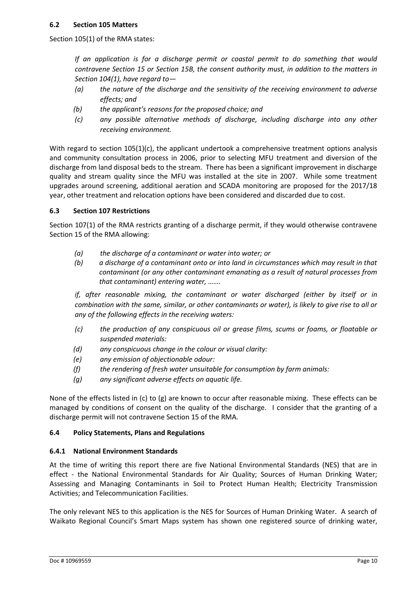Section 105(1) of the RMA states:

*If an application is for a discharge permit or coastal permit to do something that would contravene Section 15 or Section 15B, the consent authority must, in addition to the matters in Section 104(1), have regard to—*

- *(a) the nature of the discharge and the sensitivity of the receiving environment to adverse effects; and*
- *(b) the applicant's reasons for the proposed choice; and*
- *(c) any possible alternative methods of discharge, including discharge into any other receiving environment.*

With regard to section 105(1)(c), the applicant undertook a comprehensive treatment options analysis and community consultation process in 2006, prior to selecting MFU treatment and diversion of the discharge from land disposal beds to the stream. There has been a significant improvement in discharge quality and stream quality since the MFU was installed at the site in 2007. While some treatment upgrades around screening, additional aeration and SCADA monitoring are proposed for the 2017/18 year, other treatment and relocation options have been considered and discarded due to cost.

## **6.3 Section 107 Restrictions**

Section 107(1) of the RMA restricts granting of a discharge permit, if they would otherwise contravene Section 15 of the RMA allowing:

- *(a) the discharge of a contaminant or water into water; or*
- *(b) a discharge of a contaminant onto or into land in circumstances which may result in that contaminant (or any other contaminant emanating as a result of natural processes from that contaminant) entering water, …….*

*if, after reasonable mixing, the contaminant or water discharged (either by itself or in combination with the same, similar, or other contaminants or water), is likely to give rise to all or any of the following effects in the receiving waters:*

- *(c) the production of any conspicuous oil or grease films, scums or foams, or floatable or suspended materials:*
- *(d) any conspicuous change in the colour or visual clarity:*
- *(e) any emission of objectionable odour:*
- *(f) the rendering of fresh water unsuitable for consumption by farm animals:*
- *(g) any significant adverse effects on aquatic life.*

None of the effects listed in (c) to (g) are known to occur after reasonable mixing. These effects can be managed by conditions of consent on the quality of the discharge. I consider that the granting of a discharge permit will not contravene Section 15 of the RMA.

#### **6.4 Policy Statements, Plans and Regulations**

#### **6.4.1 National Environment Standards**

At the time of writing this report there are five National Environmental Standards (NES) that are in effect - the National Environmental Standards for Air Quality; Sources of Human Drinking Water; Assessing and Managing Contaminants in Soil to Protect Human Health; Electricity Transmission Activities; and Telecommunication Facilities.

The only relevant NES to this application is the NES for Sources of Human Drinking Water. A search of Waikato Regional Council's Smart Maps system has shown one registered source of drinking water,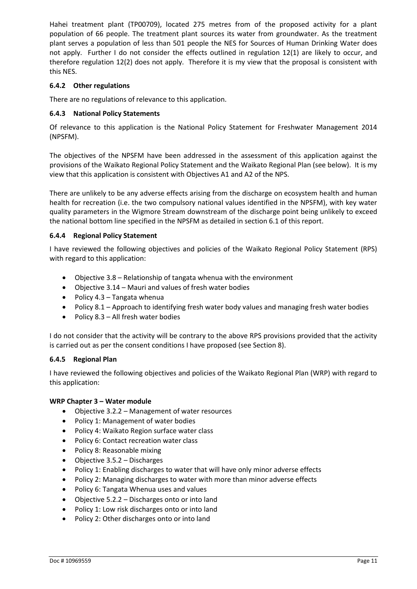Hahei treatment plant (TP00709), located 275 metres from of the proposed activity for a plant population of 66 people. The treatment plant sources its water from groundwater. As the treatment plant serves a population of less than 501 people the NES for Sources of Human Drinking Water does not apply. Further I do not consider the effects outlined in regulation 12(1) are likely to occur, and therefore regulation 12(2) does not apply. Therefore it is my view that the proposal is consistent with this NES.

## **6.4.2 Other regulations**

There are no regulations of relevance to this application.

## **6.4.3 National Policy Statements**

Of relevance to this application is the National Policy Statement for Freshwater Management 2014 (NPSFM).

The objectives of the NPSFM have been addressed in the assessment of this application against the provisions of the Waikato Regional Policy Statement and the Waikato Regional Plan (see below). It is my view that this application is consistent with Objectives A1 and A2 of the NPS.

There are unlikely to be any adverse effects arising from the discharge on ecosystem health and human health for recreation (i.e. the two compulsory national values identified in the NPSFM), with key water quality parameters in the Wigmore Stream downstream of the discharge point being unlikely to exceed the national bottom line specified in the NPSFM as detailed in section 6.1 of this report.

## **6.4.4 Regional Policy Statement**

I have reviewed the following objectives and policies of the Waikato Regional Policy Statement (RPS) with regard to this application:

- Objective  $3.8$  Relationship of tangata whenua with the environment
- $\bullet$  Objective 3.14 Mauri and values of fresh water bodies
- Policy  $4.3$  Tangata whenua
- Policy 8.1 Approach to identifying fresh water body values and managing fresh water bodies
- Policy  $8.3 All$  fresh water bodies

I do not consider that the activity will be contrary to the above RPS provisions provided that the activity is carried out as per the consent conditions I have proposed (see Section 8).

#### **6.4.5 Regional Plan**

I have reviewed the following objectives and policies of the Waikato Regional Plan (WRP) with regard to this application:

#### **WRP Chapter 3 – Water module**

- Objective 3.2.2 Management of water resources
- Policy 1: Management of water bodies
- Policy 4: Waikato Region surface water class
- Policy 6: Contact recreation water class
- Policy 8: Reasonable mixing
- $\bullet$  Objective 3.5.2 Discharges
- Policy 1: Enabling discharges to water that will have only minor adverse effects
- Policy 2: Managing discharges to water with more than minor adverse effects
- Policy 6: Tangata Whenua uses and values
- $\bullet$  Objective 5.2.2 Discharges onto or into land
- Policy 1: Low risk discharges onto or into land
- Policy 2: Other discharges onto or into land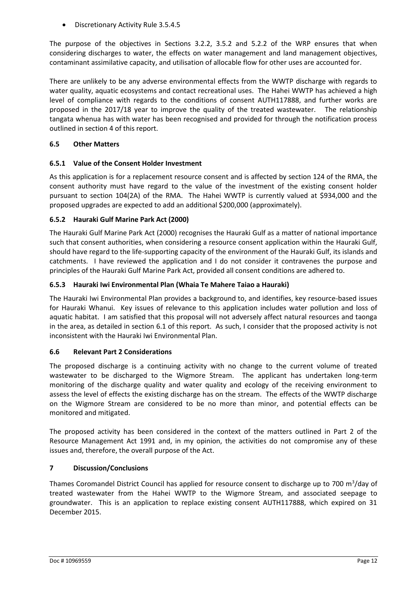• Discretionary Activity Rule 3.5.4.5

The purpose of the objectives in Sections 3.2.2, 3.5.2 and 5.2.2 of the WRP ensures that when considering discharges to water, the effects on water management and land management objectives, contaminant assimilative capacity, and utilisation of allocable flow for other uses are accounted for.

There are unlikely to be any adverse environmental effects from the WWTP discharge with regards to water quality, aquatic ecosystems and contact recreational uses. The Hahei WWTP has achieved a high level of compliance with regards to the conditions of consent AUTH117888, and further works are proposed in the 2017/18 year to improve the quality of the treated wastewater. The relationship tangata whenua has with water has been recognised and provided for through the notification process outlined in section 4 of this report.

## **6.5 Other Matters**

## **6.5.1 Value of the Consent Holder Investment**

As this application is for a replacement resource consent and is affected by section 124 of the RMA, the consent authority must have regard to the value of the investment of the existing consent holder pursuant to section 104(2A) of the RMA. The Hahei WWTP is currently valued at \$934,000 and the proposed upgrades are expected to add an additional \$200,000 (approximately).

## **6.5.2 Hauraki Gulf Marine Park Act (2000)**

The Hauraki Gulf Marine Park Act (2000) recognises the Hauraki Gulf as a matter of national importance such that consent authorities, when considering a resource consent application within the Hauraki Gulf, should have regard to the life-supporting capacity of the environment of the Hauraki Gulf, its islands and catchments. I have reviewed the application and I do not consider it contravenes the purpose and principles of the Hauraki Gulf Marine Park Act, provided all consent conditions are adhered to.

## **6.5.3 Hauraki Iwi Environmental Plan (Whaia Te Mahere Taiao a Hauraki)**

The Hauraki Iwi Environmental Plan provides a background to, and identifies, key resource-based issues for Hauraki Whanui. Key issues of relevance to this application includes water pollution and loss of aquatic habitat. I am satisfied that this proposal will not adversely affect natural resources and taonga in the area, as detailed in section 6.1 of this report. As such, I consider that the proposed activity is not inconsistent with the Hauraki Iwi Environmental Plan.

## **6.6 Relevant Part 2 Considerations**

The proposed discharge is a continuing activity with no change to the current volume of treated wastewater to be discharged to the Wigmore Stream. The applicant has undertaken long-term monitoring of the discharge quality and water quality and ecology of the receiving environment to assess the level of effects the existing discharge has on the stream. The effects of the WWTP discharge on the Wigmore Stream are considered to be no more than minor, and potential effects can be monitored and mitigated.

The proposed activity has been considered in the context of the matters outlined in Part 2 of the Resource Management Act 1991 and, in my opinion, the activities do not compromise any of these issues and, therefore, the overall purpose of the Act.

## **7 Discussion/Conclusions**

Thames Coromandel District Council has applied for resource consent to discharge up to 700 m<sup>3</sup>/day of treated wastewater from the Hahei WWTP to the Wigmore Stream, and associated seepage to groundwater. This is an application to replace existing consent AUTH117888, which expired on 31 December 2015.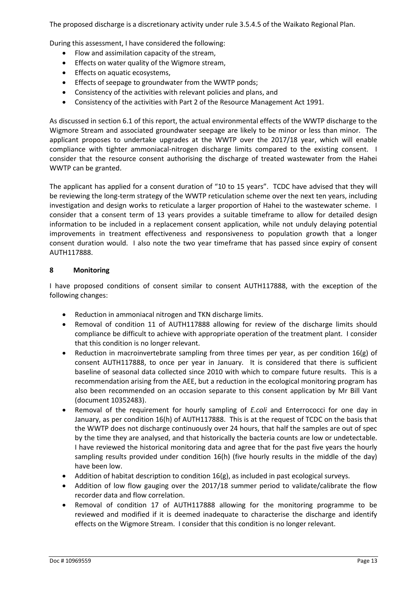The proposed discharge is a discretionary activity under rule 3.5.4.5 of the Waikato Regional Plan.

During this assessment, I have considered the following:

- Flow and assimilation capacity of the stream,
- **•** Effects on water quality of the Wigmore stream,
- Effects on aquatic ecosystems,
- **•** Effects of seepage to groundwater from the WWTP ponds;
- Consistency of the activities with relevant policies and plans, and
- Consistency of the activities with Part 2 of the Resource Management Act 1991.

As discussed in section 6.1 of this report, the actual environmental effects of the WWTP discharge to the Wigmore Stream and associated groundwater seepage are likely to be minor or less than minor. The applicant proposes to undertake upgrades at the WWTP over the 2017/18 year, which will enable compliance with tighter ammoniacal-nitrogen discharge limits compared to the existing consent. I consider that the resource consent authorising the discharge of treated wastewater from the Hahei WWTP can be granted.

The applicant has applied for a consent duration of "10 to 15 years". TCDC have advised that they will be reviewing the long-term strategy of the WWTP reticulation scheme over the next ten years, including investigation and design works to reticulate a larger proportion of Hahei to the wastewater scheme. I consider that a consent term of 13 years provides a suitable timeframe to allow for detailed design information to be included in a replacement consent application, while not unduly delaying potential improvements in treatment effectiveness and responsiveness to population growth that a longer consent duration would. I also note the two year timeframe that has passed since expiry of consent AUTH117888.

#### **8 Monitoring**

I have proposed conditions of consent similar to consent AUTH117888, with the exception of the following changes:

- Reduction in ammoniacal nitrogen and TKN discharge limits.
- Removal of condition 11 of AUTH117888 allowing for review of the discharge limits should compliance be difficult to achieve with appropriate operation of the treatment plant. I consider that this condition is no longer relevant.
- Reduction in macroinvertebrate sampling from three times per year, as per condition 16(g) of consent AUTH117888, to once per year in January. It is considered that there is sufficient baseline of seasonal data collected since 2010 with which to compare future results. This is a recommendation arising from the AEE, but a reduction in the ecological monitoring program has also been recommended on an occasion separate to this consent application by Mr Bill Vant (document 10352483).
- Removal of the requirement for hourly sampling of *E.coli* and Enterrococci for one day in January, as per condition 16(h) of AUTH117888. This is at the request of TCDC on the basis that the WWTP does not discharge continuously over 24 hours, that half the samples are out of spec by the time they are analysed, and that historically the bacteria counts are low or undetectable. I have reviewed the historical monitoring data and agree that for the past five years the hourly sampling results provided under condition 16(h) (five hourly results in the middle of the day) have been low.
- Addition of habitat description to condition  $16(g)$ , as included in past ecological surveys.
- Addition of low flow gauging over the 2017/18 summer period to validate/calibrate the flow recorder data and flow correlation.
- x Removal of condition 17 of AUTH117888 allowing for the monitoring programme to be reviewed and modified if it is deemed inadequate to characterise the discharge and identify effects on the Wigmore Stream. I consider that this condition is no longer relevant.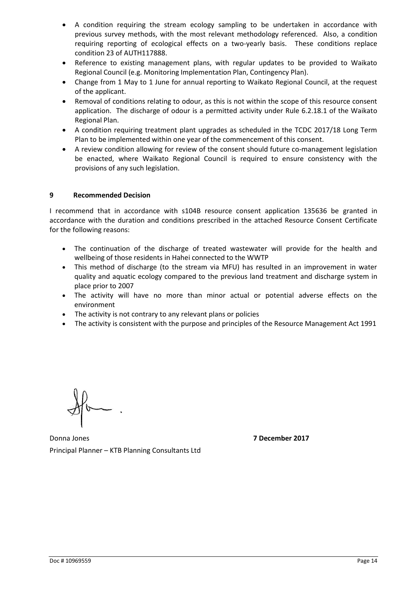- A condition requiring the stream ecology sampling to be undertaken in accordance with previous survey methods, with the most relevant methodology referenced. Also, a condition requiring reporting of ecological effects on a two-yearly basis. These conditions replace condition 23 of AUTH117888.
- Reference to existing management plans, with regular updates to be provided to Waikato Regional Council (e.g. Monitoring Implementation Plan, Contingency Plan).
- Change from 1 May to 1 June for annual reporting to Waikato Regional Council, at the request of the applicant.
- Removal of conditions relating to odour, as this is not within the scope of this resource consent application. The discharge of odour is a permitted activity under Rule 6.2.18.1 of the Waikato Regional Plan.
- A condition requiring treatment plant upgrades as scheduled in the TCDC 2017/18 Long Term Plan to be implemented within one year of the commencement of this consent.
- A review condition allowing for review of the consent should future co-management legislation be enacted, where Waikato Regional Council is required to ensure consistency with the provisions of any such legislation.

## **9 Recommended Decision**

I recommend that in accordance with s104B resource consent application 135636 be granted in accordance with the duration and conditions prescribed in the attached Resource Consent Certificate for the following reasons:

- The continuation of the discharge of treated wastewater will provide for the health and wellbeing of those residents in Hahei connected to the WWTP
- This method of discharge (to the stream via MFU) has resulted in an improvement in water quality and aquatic ecology compared to the previous land treatment and discharge system in place prior to 2007
- The activity will have no more than minor actual or potential adverse effects on the environment
- The activity is not contrary to any relevant plans or policies
- The activity is consistent with the purpose and principles of the Resource Management Act 1991

Donna Jones **7 December 2017** Principal Planner – KTB Planning Consultants Ltd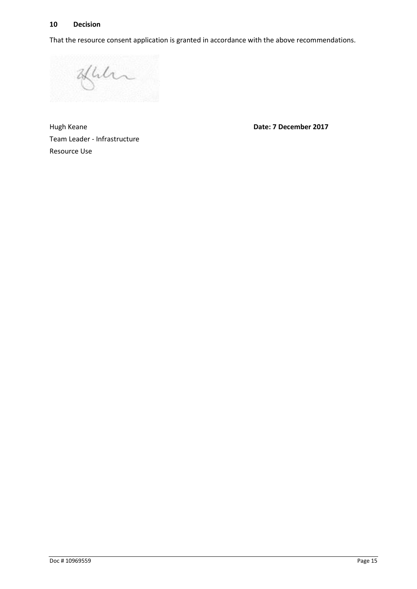## **10 Decision**

That the resource consent application is granted in accordance with the above recommendations.

Juli

Hugh Keane **Date: 7 December 2017** Team Leader - Infrastructure Resource Use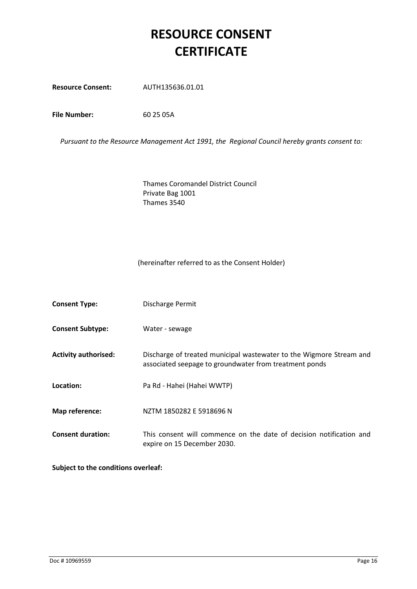# **RESOURCE CONSENT CERTIFICATE**

**Resource Consent:** AUTH135636.01.01

**File Number:** 60 25 05A

*Pursuant to the Resource Management Act 1991, the Regional Council hereby grants consent to:*

Thames Coromandel District Council Private Bag 1001 Thames 3540

#### (hereinafter referred to as the Consent Holder)

| <b>Consent Type:</b>        | Discharge Permit                                                                                                              |
|-----------------------------|-------------------------------------------------------------------------------------------------------------------------------|
| <b>Consent Subtype:</b>     | Water - sewage                                                                                                                |
| <b>Activity authorised:</b> | Discharge of treated municipal wastewater to the Wigmore Stream and<br>associated seepage to groundwater from treatment ponds |
| Location:                   | Pa Rd - Hahei (Hahei WWTP)                                                                                                    |
| Map reference:              | NZTM 1850282 E 5918696 N                                                                                                      |
| <b>Consent duration:</b>    | This consent will commence on the date of decision notification and<br>expire on 15 December 2030.                            |

**Subject to the conditions overleaf:**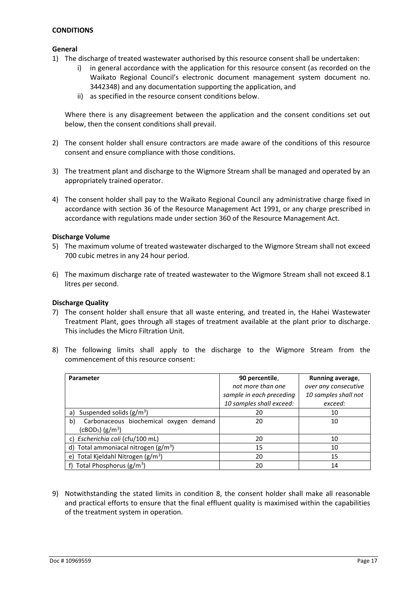## **CONDITIONS**

#### **General**

- 1) The discharge of treated wastewater authorised by this resource consent shall be undertaken:
	- i) in general accordance with the application for this resource consent (as recorded on the Waikato Regional Council's electronic document management system document no. 3442348) and any documentation supporting the application, and
	- ii) as specified in the resource consent conditions below.

Where there is any disagreement between the application and the consent conditions set out below, then the consent conditions shall prevail.

- 2) The consent holder shall ensure contractors are made aware of the conditions of this resource consent and ensure compliance with those conditions.
- 3) The treatment plant and discharge to the Wigmore Stream shall be managed and operated by an appropriately trained operator.
- 4) The consent holder shall pay to the Waikato Regional Council any administrative charge fixed in accordance with section 36 of the Resource Management Act 1991, or any charge prescribed in accordance with regulations made under section 360 of the Resource Management Act.

#### **Discharge Volume**

- 5) The maximum volume of treated wastewater discharged to the Wigmore Stream shall not exceed 700 cubic metres in any 24 hour period.
- 6) The maximum discharge rate of treated wastewater to the Wigmore Stream shall not exceed 8.1 litres per second.

#### **Discharge Quality**

- 7) The consent holder shall ensure that all waste entering, and treated in, the Hahei Wastewater Treatment Plant, goes through all stages of treatment available at the plant prior to discharge. This includes the Micro Filtration Unit.
- 8) The following limits shall apply to the discharge to the Wigmore Stream from the commencement of this resource consent:

| Parameter                                    | 90 percentile,           | Running average,     |
|----------------------------------------------|--------------------------|----------------------|
|                                              | not more than one        | over any consecutive |
|                                              | sample in each preceding | 10 samples shall not |
|                                              | 10 samples shall exceed: | exceed:              |
| Suspended solids $(g/m^3)$<br>a)             | 20                       | 10                   |
| b)<br>Carbonaceous biochemical oxygen demand | 20                       | 10                   |
| (cBOD <sub>5</sub> ) (g/m <sup>3</sup> )     |                          |                      |
| c) Escherichia coli (cfu/100 mL)             | 20                       | 10                   |
| d) Total ammoniacal nitrogen $(g/m^3)$       | 15                       | 10                   |
| e) Total Kjeldahl Nitrogen ( $g/m^3$ )       | 20                       | 15                   |
| Total Phosphorus $(g/m^3)$                   | 20                       | 14                   |

9) Notwithstanding the stated limits in condition 8, the consent holder shall make all reasonable and practical efforts to ensure that the final effluent quality is maximised within the capabilities of the treatment system in operation.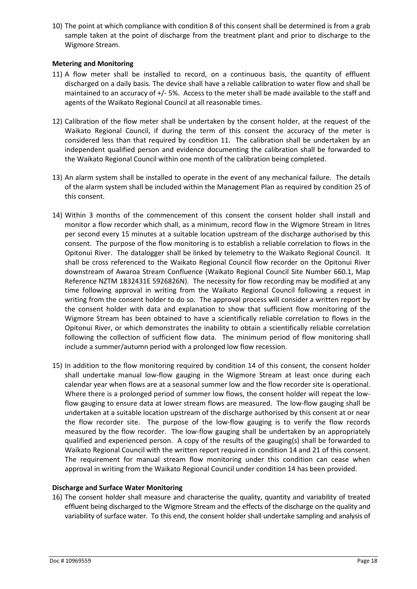10) The point at which compliance with condition 8 of this consent shall be determined is from a grab sample taken at the point of discharge from the treatment plant and prior to discharge to the Wigmore Stream.

## **Metering and Monitoring**

- 11) A flow meter shall be installed to record, on a continuous basis, the quantity of effluent discharged on a daily basis. The device shall have a reliable calibration to water flow and shall be maintained to an accuracy of +/- 5%. Access to the meter shall be made available to the staff and agents of the Waikato Regional Council at all reasonable times.
- 12) Calibration of the flow meter shall be undertaken by the consent holder, at the request of the Waikato Regional Council, if during the term of this consent the accuracy of the meter is considered less than that required by condition 11. The calibration shall be undertaken by an independent qualified person and evidence documenting the calibration shall be forwarded to the Waikato Regional Council within one month of the calibration being completed.
- 13) An alarm system shall be installed to operate in the event of any mechanical failure. The details of the alarm system shall be included within the Management Plan as required by condition 25 of this consent.
- 14) Within 3 months of the commencement of this consent the consent holder shall install and monitor a flow recorder which shall, as a minimum, record flow in the Wigmore Stream in litres per second every 15 minutes at a suitable location upstream of the discharge authorised by this consent. The purpose of the flow monitoring is to establish a reliable correlation to flows in the Opitonui River. The datalogger shall be linked by telemetry to the Waikato Regional Council. It shall be cross referenced to the Waikato Regional Council flow recorder on the Opitonui River downstream of Awaroa Stream Confluence (Waikato Regional Council Site Number 660.1, Map Reference NZTM 1832431E 5926826N). The necessity for flow recording may be modified at any time following approval in writing from the Waikato Regional Council following a request in writing from the consent holder to do so. The approval process will consider a written report by the consent holder with data and explanation to show that sufficient flow monitoring of the Wigmore Stream has been obtained to have a scientifically reliable correlation to flows in the Opitonui River, or which demonstrates the inability to obtain a scientifically reliable correlation following the collection of sufficient flow data. The minimum period of flow monitoring shall include a summer/autumn period with a prolonged low flow recession.
- 15) In addition to the flow monitoring required by condition 14 of this consent, the consent holder shall undertake manual low-flow gauging in the Wigmore Stream at least once during each calendar year when flows are at a seasonal summer low and the flow recorder site is operational. Where there is a prolonged period of summer low flows, the consent holder will repeat the lowflow gauging to ensure data at lower stream flows are measured. The low-flow gauging shall be undertaken at a suitable location upstream of the discharge authorised by this consent at or near the flow recorder site. The purpose of the low-flow gauging is to verify the flow records measured by the flow recorder. The low-flow gauging shall be undertaken by an appropriately qualified and experienced person. A copy of the results of the gauging(s) shall be forwarded to Waikato Regional Council with the written report required in condition 14 and 21 of this consent. The requirement for manual stream flow monitoring under this condition can cease when approval in writing from the Waikato Regional Council under condition 14 has been provided.

#### **Discharge and Surface Water Monitoring**

16) The consent holder shall measure and characterise the quality, quantity and variability of treated effluent being discharged to the Wigmore Stream and the effects of the discharge on the quality and variability of surface water. To this end, the consent holder shall undertake sampling and analysis of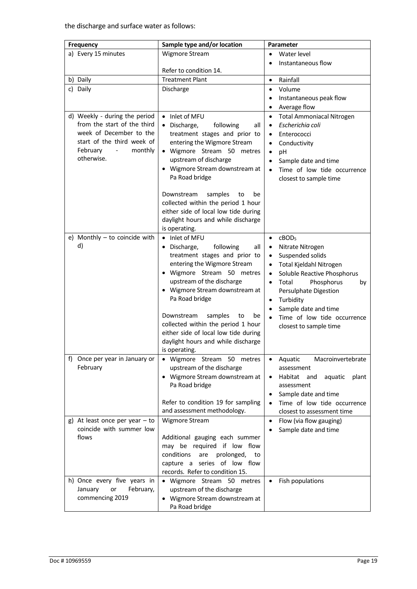| Frequency                                                                                                                                                                              | Sample type and/or location                                                                                                                                                                                                                                                                                                                                                                                                  | Parameter                                                                                                                                                                                                                                                                                                                                                                                    |
|----------------------------------------------------------------------------------------------------------------------------------------------------------------------------------------|------------------------------------------------------------------------------------------------------------------------------------------------------------------------------------------------------------------------------------------------------------------------------------------------------------------------------------------------------------------------------------------------------------------------------|----------------------------------------------------------------------------------------------------------------------------------------------------------------------------------------------------------------------------------------------------------------------------------------------------------------------------------------------------------------------------------------------|
| a) Every 15 minutes                                                                                                                                                                    | Wigmore Stream                                                                                                                                                                                                                                                                                                                                                                                                               | Water level<br>$\bullet$                                                                                                                                                                                                                                                                                                                                                                     |
|                                                                                                                                                                                        |                                                                                                                                                                                                                                                                                                                                                                                                                              | Instantaneous flow                                                                                                                                                                                                                                                                                                                                                                           |
|                                                                                                                                                                                        | Refer to condition 14.                                                                                                                                                                                                                                                                                                                                                                                                       |                                                                                                                                                                                                                                                                                                                                                                                              |
| b) Daily                                                                                                                                                                               | <b>Treatment Plant</b>                                                                                                                                                                                                                                                                                                                                                                                                       | Rainfall<br>$\bullet$                                                                                                                                                                                                                                                                                                                                                                        |
| c) Daily                                                                                                                                                                               | Discharge                                                                                                                                                                                                                                                                                                                                                                                                                    | Volume<br>$\bullet$                                                                                                                                                                                                                                                                                                                                                                          |
|                                                                                                                                                                                        |                                                                                                                                                                                                                                                                                                                                                                                                                              | Instantaneous peak flow<br>$\bullet$<br>Average flow<br>$\bullet$                                                                                                                                                                                                                                                                                                                            |
| d) Weekly - during the period<br>from the start of the third<br>week of December to the<br>start of the third week of<br>February<br>monthly<br>$\overline{\phantom{a}}$<br>otherwise. | • Inlet of MFU<br>· Discharge,<br>following<br>all<br>treatment stages and prior to<br>entering the Wigmore Stream<br>· Wigmore Stream 50 metres<br>upstream of discharge<br>• Wigmore Stream downstream at<br>Pa Road bridge<br>Downstream<br>samples<br>to<br>be<br>collected within the period 1 hour<br>either side of local low tide during<br>daylight hours and while discharge                                       | <b>Total Ammoniacal Nitrogen</b><br>$\bullet$<br>Escherichia coli<br>$\bullet$<br>Enterococci<br>$\bullet$<br>Conductivity<br>$\bullet$<br>pH<br>$\bullet$<br>Sample date and time<br>$\bullet$<br>Time of low tide occurrence<br>$\bullet$<br>closest to sample time                                                                                                                        |
| e) Monthly $-$ to coincide with<br>d)                                                                                                                                                  | is operating.<br>• Inlet of MFU<br>• Discharge,<br>following<br>all<br>treatment stages and prior to<br>entering the Wigmore Stream<br>· Wigmore Stream 50 metres<br>upstream of the discharge<br>• Wigmore Stream downstream at<br>Pa Road bridge<br>Downstream<br>samples<br>be<br>to<br>collected within the period 1 hour<br>either side of local low tide during<br>daylight hours and while discharge<br>is operating. | cBOD <sub>5</sub><br>$\bullet$<br>Nitrate Nitrogen<br>$\bullet$<br>Suspended solids<br>$\bullet$<br>Total Kjeldahl Nitrogen<br>$\bullet$<br>Soluble Reactive Phosphorus<br>$\bullet$<br>Total<br>Phosphorus<br>$\bullet$<br>by<br>Persulphate Digestion<br>Turbidity<br>$\bullet$<br>Sample date and time<br>$\bullet$<br>Time of low tide occurrence<br>$\bullet$<br>closest to sample time |
| f) Once per year in January or<br>February<br>g) At least once per year $-$ to                                                                                                         | · Wigmore Stream 50 metres<br>upstream of the discharge<br>• Wigmore Stream downstream at<br>Pa Road bridge<br>Refer to condition 19 for sampling<br>and assessment methodology.<br>Wigmore Stream                                                                                                                                                                                                                           | Aquatic<br>Macroinvertebrate<br>$\bullet$<br>assessment<br>Habitat and<br>aquatic<br>plant<br>$\bullet$<br>assessment<br>Sample date and time<br>$\bullet$<br>Time of low tide occurrence<br>$\bullet$<br>closest to assessment time                                                                                                                                                         |
| coincide with summer low<br>flows<br>h) Once every five years in                                                                                                                       | Additional gauging each summer<br>may be required if low flow<br>conditions<br>prolonged,<br>are<br>to<br>capture a series of low flow<br>records. Refer to condition 15.<br>· Wigmore Stream 50 metres                                                                                                                                                                                                                      | Flow (via flow gauging)<br>$\bullet$<br>Sample date and time<br>Fish populations<br>$\bullet$                                                                                                                                                                                                                                                                                                |
| February,<br>January<br>or<br>commencing 2019                                                                                                                                          | upstream of the discharge<br>• Wigmore Stream downstream at<br>Pa Road bridge                                                                                                                                                                                                                                                                                                                                                |                                                                                                                                                                                                                                                                                                                                                                                              |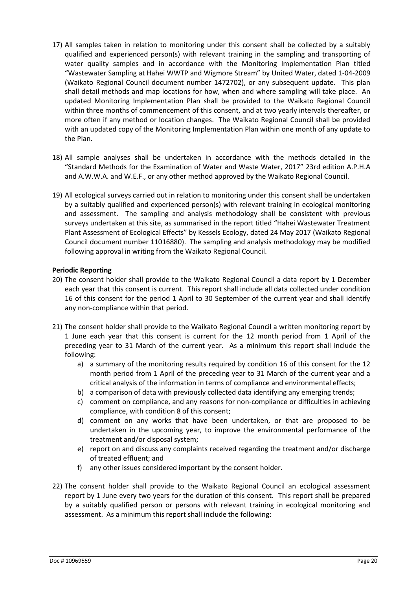- 17) All samples taken in relation to monitoring under this consent shall be collected by a suitably qualified and experienced person(s) with relevant training in the sampling and transporting of water quality samples and in accordance with the Monitoring Implementation Plan titled "Wastewater Sampling at Hahei WWTP and Wigmore Stream" by United Water, dated 1-04-2009 (Waikato Regional Council document number 1472702), or any subsequent update. This plan shall detail methods and map locations for how, when and where sampling will take place. An updated Monitoring Implementation Plan shall be provided to the Waikato Regional Council within three months of commencement of this consent, and at two yearly intervals thereafter, or more often if any method or location changes. The Waikato Regional Council shall be provided with an updated copy of the Monitoring Implementation Plan within one month of any update to the Plan.
- 18) All sample analyses shall be undertaken in accordance with the methods detailed in the "Standard Methods for the Examination of Water and Waste Water, 2017" 23rd edition A.P.H.A and A.W.W.A. and W.E.F., or any other method approved by the Waikato Regional Council.
- 19) All ecological surveys carried out in relation to monitoring under this consent shall be undertaken by a suitably qualified and experienced person(s) with relevant training in ecological monitoring and assessment. The sampling and analysis methodology shall be consistent with previous surveys undertaken at this site, as summarised in the report titled "Hahei Wastewater Treatment Plant Assessment of Ecological Effects" by Kessels Ecology, dated 24 May 2017 (Waikato Regional Council document number 11016880). The sampling and analysis methodology may be modified following approval in writing from the Waikato Regional Council.

## **Periodic Reporting**

- 20) The consent holder shall provide to the Waikato Regional Council a data report by 1 December each year that this consent is current. This report shall include all data collected under condition 16 of this consent for the period 1 April to 30 September of the current year and shall identify any non-compliance within that period.
- 21) The consent holder shall provide to the Waikato Regional Council a written monitoring report by 1 June each year that this consent is current for the 12 month period from 1 April of the preceding year to 31 March of the current year. As a minimum this report shall include the following:
	- a) a summary of the monitoring results required by condition 16 of this consent for the 12 month period from 1 April of the preceding year to 31 March of the current year and a critical analysis of the information in terms of compliance and environmental effects;
	- b) a comparison of data with previously collected data identifying any emerging trends;
	- c) comment on compliance, and any reasons for non-compliance or difficulties in achieving compliance, with condition 8 of this consent;
	- d) comment on any works that have been undertaken, or that are proposed to be undertaken in the upcoming year, to improve the environmental performance of the treatment and/or disposal system;
	- e) report on and discuss any complaints received regarding the treatment and/or discharge of treated effluent; and
	- f) any other issues considered important by the consent holder.
- 22) The consent holder shall provide to the Waikato Regional Council an ecological assessment report by 1 June every two years for the duration of this consent. This report shall be prepared by a suitably qualified person or persons with relevant training in ecological monitoring and assessment. As a minimum this report shall include the following: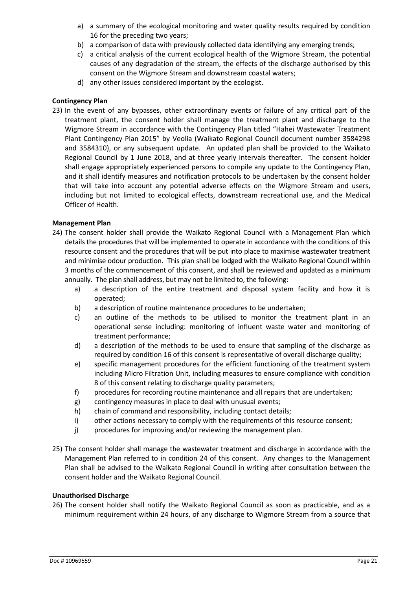- a) a summary of the ecological monitoring and water quality results required by condition 16 for the preceding two years;
- b) a comparison of data with previously collected data identifying any emerging trends;
- c) a critical analysis of the current ecological health of the Wigmore Stream, the potential causes of any degradation of the stream, the effects of the discharge authorised by this consent on the Wigmore Stream and downstream coastal waters;
- d) any other issues considered important by the ecologist.

## **Contingency Plan**

23) In the event of any bypasses, other extraordinary events or failure of any critical part of the treatment plant, the consent holder shall manage the treatment plant and discharge to the Wigmore Stream in accordance with the Contingency Plan titled "Hahei Wastewater Treatment Plant Contingency Plan 2015" by Veolia (Waikato Regional Council document number 3584298 and 3584310), or any subsequent update. An updated plan shall be provided to the Waikato Regional Council by 1 June 2018, and at three yearly intervals thereafter. The consent holder shall engage appropriately experienced persons to compile any update to the Contingency Plan, and it shall identify measures and notification protocols to be undertaken by the consent holder that will take into account any potential adverse effects on the Wigmore Stream and users, including but not limited to ecological effects, downstream recreational use, and the Medical Officer of Health.

## **Management Plan**

- 24) The consent holder shall provide the Waikato Regional Council with a Management Plan which details the procedures that will be implemented to operate in accordance with the conditions of this resource consent and the procedures that will be put into place to maximise wastewater treatment and minimise odour production. This plan shall be lodged with the Waikato Regional Council within 3 months of the commencement of this consent, and shall be reviewed and updated as a minimum annually. The plan shall address, but may not be limited to, the following:
	- a) a description of the entire treatment and disposal system facility and how it is operated;
	- b) a description of routine maintenance procedures to be undertaken;
	- c) an outline of the methods to be utilised to monitor the treatment plant in an operational sense including: monitoring of influent waste water and monitoring of treatment performance;
	- d) a description of the methods to be used to ensure that sampling of the discharge as required by condition 16 of this consent is representative of overall discharge quality;
	- e) specific management procedures for the efficient functioning of the treatment system including Micro Filtration Unit, including measures to ensure compliance with condition 8 of this consent relating to discharge quality parameters;
	- f) procedures for recording routine maintenance and all repairs that are undertaken;
	- g) contingency measures in place to deal with unusual events;
	- h) chain of command and responsibility, including contact details;
	- i) other actions necessary to comply with the requirements of this resource consent;
	- j) procedures for improving and/or reviewing the management plan.
- 25) The consent holder shall manage the wastewater treatment and discharge in accordance with the Management Plan referred to in condition 24 of this consent. Any changes to the Management Plan shall be advised to the Waikato Regional Council in writing after consultation between the consent holder and the Waikato Regional Council.

#### **Unauthorised Discharge**

26) The consent holder shall notify the Waikato Regional Council as soon as practicable, and as a minimum requirement within 24 hour*s*, of any discharge to Wigmore Stream from a source that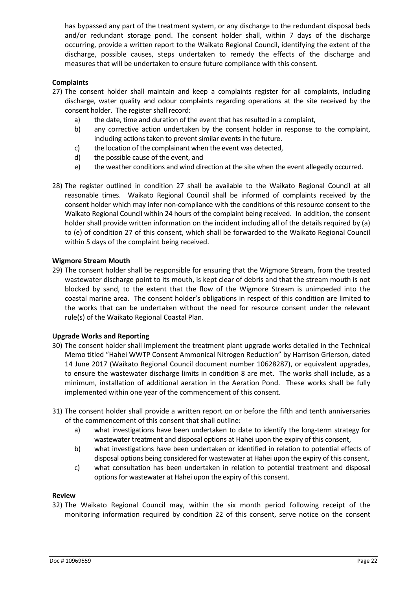has bypassed any part of the treatment system, or any discharge to the redundant disposal beds and/or redundant storage pond. The consent holder shall, within 7 days of the discharge occurring, provide a written report to the Waikato Regional Council, identifying the extent of the discharge, possible causes, steps undertaken to remedy the effects of the discharge and measures that will be undertaken to ensure future compliance with this consent.

## **Complaints**

- 27) The consent holder shall maintain and keep a complaints register for all complaints, including discharge, water quality and odour complaints regarding operations at the site received by the consent holder. The register shall record:
	- a) the date, time and duration of the event that has resulted in a complaint,
	- b) any corrective action undertaken by the consent holder in response to the complaint, including actions taken to prevent similar events in the future.
	- c) the location of the complainant when the event was detected,
	- d) the possible cause of the event, and
	- e) the weather conditions and wind direction at the site when the event allegedly occurred.
- 28) The register outlined in condition 27 shall be available to the Waikato Regional Council at all reasonable times. Waikato Regional Council shall be informed of complaints received by the consent holder which may infer non-compliance with the conditions of this resource consent to the Waikato Regional Council within 24 hours of the complaint being received. In addition, the consent holder shall provide written information on the incident including all of the details required by (a) to (e) of condition 27 of this consent, which shall be forwarded to the Waikato Regional Council within 5 days of the complaint being received.

#### **Wigmore Stream Mouth**

29) The consent holder shall be responsible for ensuring that the Wigmore Stream, from the treated wastewater discharge point to its mouth, is kept clear of debris and that the stream mouth is not blocked by sand, to the extent that the flow of the Wigmore Stream is unimpeded into the coastal marine area. The consent holder's obligations in respect of this condition are limited to the works that can be undertaken without the need for resource consent under the relevant rule(s) of the Waikato Regional Coastal Plan.

#### **Upgrade Works and Reporting**

- 30) The consent holder shall implement the treatment plant upgrade works detailed in the Technical Memo titled "Hahei WWTP Consent Ammonical Nitrogen Reduction" by Harrison Grierson, dated 14 June 2017 (Waikato Regional Council document number 10628287), or equivalent upgrades, to ensure the wastewater discharge limits in condition 8 are met. The works shall include, as a minimum, installation of additional aeration in the Aeration Pond. These works shall be fully implemented within one year of the commencement of this consent.
- 31) The consent holder shall provide a written report on or before the fifth and tenth anniversaries of the commencement of this consent that shall outline:
	- a) what investigations have been undertaken to date to identify the long-term strategy for wastewater treatment and disposal options at Hahei upon the expiry of this consent,
	- b) what investigations have been undertaken or identified in relation to potential effects of disposal options being considered for wastewater at Hahei upon the expiry of this consent,
	- c) what consultation has been undertaken in relation to potential treatment and disposal options for wastewater at Hahei upon the expiry of this consent.

#### **Review**

32) The Waikato Regional Council may, within the six month period following receipt of the monitoring information required by condition 22 of this consent, serve notice on the consent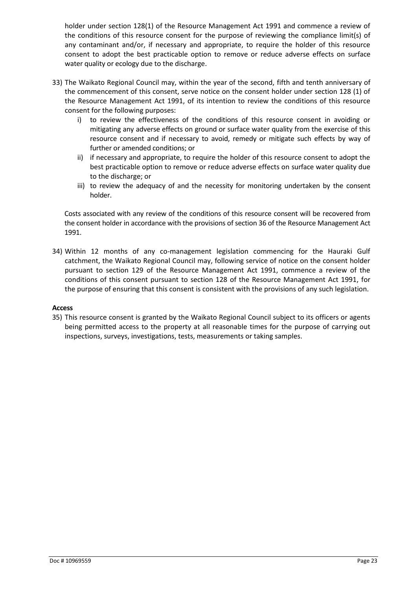holder under section 128(1) of the Resource Management Act 1991 and commence a review of the conditions of this resource consent for the purpose of reviewing the compliance limit(s) of any contaminant and/or, if necessary and appropriate, to require the holder of this resource consent to adopt the best practicable option to remove or reduce adverse effects on surface water quality or ecology due to the discharge.

- 33) The Waikato Regional Council may, within the year of the second, fifth and tenth anniversary of the commencement of this consent, serve notice on the consent holder under section 128 (1) of the Resource Management Act 1991, of its intention to review the conditions of this resource consent for the following purposes:
	- i) to review the effectiveness of the conditions of this resource consent in avoiding or mitigating any adverse effects on ground or surface water quality from the exercise of this resource consent and if necessary to avoid, remedy or mitigate such effects by way of further or amended conditions; or
	- ii) if necessary and appropriate, to require the holder of this resource consent to adopt the best practicable option to remove or reduce adverse effects on surface water quality due to the discharge; or
	- iii) to review the adequacy of and the necessity for monitoring undertaken by the consent holder.

Costs associated with any review of the conditions of this resource consent will be recovered from the consent holder in accordance with the provisions of section 36 of the Resource Management Act 1991.

34) Within 12 months of any co-management legislation commencing for the Hauraki Gulf catchment, the Waikato Regional Council may, following service of notice on the consent holder pursuant to section 129 of the Resource Management Act 1991, commence a review of the conditions of this consent pursuant to section 128 of the Resource Management Act 1991, for the purpose of ensuring that this consent is consistent with the provisions of any such legislation.

#### **Access**

35) This resource consent is granted by the Waikato Regional Council subject to its officers or agents being permitted access to the property at all reasonable times for the purpose of carrying out inspections, surveys, investigations, tests, measurements or taking samples.